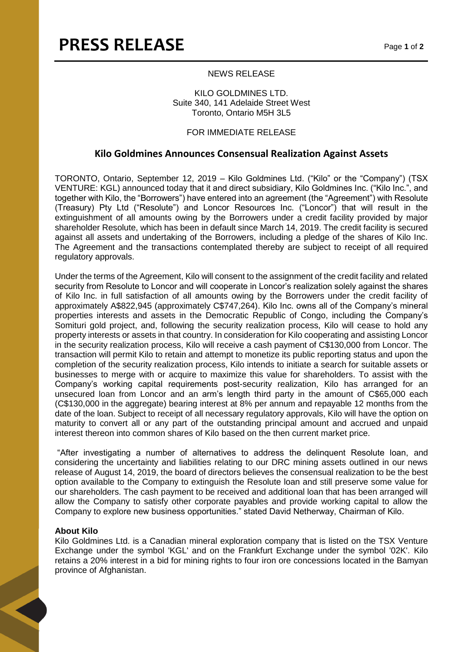## NEWS RELEASE

### KILO GOLDMINES LTD. Suite 340, 141 Adelaide Street West Toronto, Ontario M5H 3L5

# FOR IMMEDIATE RELEASE

# **Kilo Goldmines Announces Consensual Realization Against Assets**

TORONTO, Ontario, September 12, 2019 – Kilo Goldmines Ltd. ("Kilo" or the "Company") (TSX VENTURE: KGL) announced today that it and direct subsidiary, Kilo Goldmines Inc. ("Kilo Inc.", and together with Kilo, the "Borrowers") have entered into an agreement (the "Agreement") with Resolute (Treasury) Pty Ltd ("Resolute") and Loncor Resources Inc. ("Loncor") that will result in the extinguishment of all amounts owing by the Borrowers under a credit facility provided by major shareholder Resolute, which has been in default since March 14, 2019. The credit facility is secured against all assets and undertaking of the Borrowers, including a pledge of the shares of Kilo Inc. The Agreement and the transactions contemplated thereby are subject to receipt of all required regulatory approvals.

Under the terms of the Agreement, Kilo will consent to the assignment of the credit facility and related security from Resolute to Loncor and will cooperate in Loncor's realization solely against the shares of Kilo Inc. in full satisfaction of all amounts owing by the Borrowers under the credit facility of approximately A\$822,945 (approximately C\$747,264). Kilo Inc. owns all of the Company's mineral properties interests and assets in the Democratic Republic of Congo, including the Company's Somituri gold project, and, following the security realization process, Kilo will cease to hold any property interests or assets in that country. In consideration for Kilo cooperating and assisting Loncor in the security realization process, Kilo will receive a cash payment of C\$130,000 from Loncor. The transaction will permit Kilo to retain and attempt to monetize its public reporting status and upon the completion of the security realization process, Kilo intends to initiate a search for suitable assets or businesses to merge with or acquire to maximize this value for shareholders. To assist with the Company's working capital requirements post-security realization, Kilo has arranged for an unsecured loan from Loncor and an arm's length third party in the amount of C\$65,000 each (C\$130,000 in the aggregate) bearing interest at 8% per annum and repayable 12 months from the date of the loan. Subject to receipt of all necessary regulatory approvals, Kilo will have the option on maturity to convert all or any part of the outstanding principal amount and accrued and unpaid interest thereon into common shares of Kilo based on the then current market price.

"After investigating a number of alternatives to address the delinquent Resolute loan, and considering the uncertainty and liabilities relating to our DRC mining assets outlined in our news release of August 14, 2019, the board of directors believes the consensual realization to be the best option available to the Company to extinguish the Resolute loan and still preserve some value for our shareholders. The cash payment to be received and additional loan that has been arranged will allow the Company to satisfy other corporate payables and provide working capital to allow the Company to explore new business opportunities." stated David Netherway, Chairman of Kilo.

#### **About Kilo**

Kilo Goldmines Ltd. is a Canadian mineral exploration company that is listed on the TSX Venture Exchange under the symbol 'KGL' and on the Frankfurt Exchange under the symbol '02K'. Kilo retains a 20% interest in a bid for mining rights to four iron ore concessions located in the Bamyan province of Afghanistan.